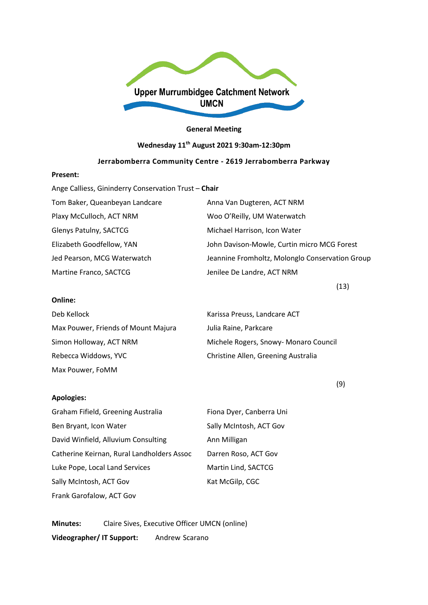

#### **General Meeting**

# **Wednesday 11th August 2021 9:30am-12:30pm**

# **Jerrabomberra Community Centre - 2619 Jerrabomberra Parkway**

#### **Present:**

**Online:**

Max Pouwer, FoMM

**Apologies:**

| Ange Calliess, Gininderry Conservation Trust - Chair |                                                 |
|------------------------------------------------------|-------------------------------------------------|
| Tom Baker, Queanbeyan Landcare                       | Anna Van Dugteren, ACT NRM                      |
| Plaxy McCulloch, ACT NRM                             | Woo O'Reilly, UM Waterwatch                     |
| Glenys Patulny, SACTCG                               | Michael Harrison, Icon Water                    |
| Elizabeth Goodfellow, YAN                            | John Davison-Mowle, Curtin micro MCG Forest     |
| Jed Pearson, MCG Waterwatch                          | Jeannine Fromholtz, Molonglo Conservation Group |
| Martine Franco, SACTCG                               | Jenilee De Landre, ACT NRM                      |

 $(13)$ 

# Deb Kellock Karissa Preuss, Landcare ACT Max Pouwer, Friends of Mount Majura Julia Raine, Parkcare Simon Holloway, ACT NRM Michele Rogers, Snowy- Monaro Council Rebecca Widdows, YVC Christine Allen, Greening Australia

(9)

| Graham Fifield, Greening Australia         | Fiona Dyer, Canberra Uni |
|--------------------------------------------|--------------------------|
| Ben Bryant, Icon Water                     | Sally McIntosh, ACT Gov  |
| David Winfield, Alluvium Consulting        | Ann Milligan             |
| Catherine Keirnan, Rural Landholders Assoc | Darren Roso, ACT Gov     |
| Luke Pope, Local Land Services             | Martin Lind, SACTCG      |
| Sally McIntosh, ACT Gov                    | Kat McGilp, CGC          |
| Frank Garofalow, ACT Gov                   |                          |

**Minutes:** Claire Sives, Executive Officer UMCN (online) **Videographer/ IT Support:** Andrew Scarano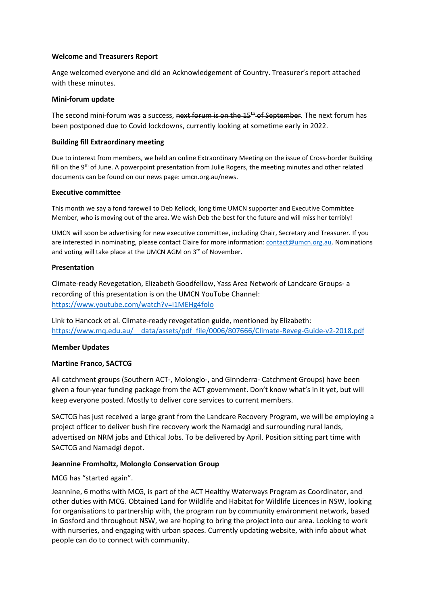#### **Welcome and Treasurers Report**

Ange welcomed everyone and did an Acknowledgement of Country. Treasurer's report attached with these minutes.

#### **Mini-forum update**

The second mini-forum was a success, next forum is on the 15<sup>th</sup> of September. The next forum has been postponed due to Covid lockdowns, currently looking at sometime early in 2022.

#### **Building fill Extraordinary meeting**

Due to interest from members, we held an online Extraordinary Meeting on the issue of Cross-border Building fill on the 9<sup>th</sup> of June. A powerpoint presentation from Julie Rogers, the meeting minutes and other related documents can be found on our news page: umcn.org.au/news.

#### **Executive committee**

This month we say a fond farewell to Deb Kellock, long time UMCN supporter and Executive Committee Member, who is moving out of the area. We wish Deb the best for the future and will miss her terribly!

UMCN will soon be advertising for new executive committee, including Chair, Secretary and Treasurer. If you are interested in nominating, please contact Claire for more information[: contact@umcn.org.au.](mailto:contact@umcn.org.au) Nominations and voting will take place at the UMCN AGM on 3rd of November.

#### **Presentation**

Climate-ready Revegetation, Elizabeth Goodfellow, Yass Area Network of Landcare Groups- a recording of this presentation is on the UMCN YouTube Channel: <https://www.youtube.com/watch?v=i1MEHg4folo>

Link to Hancock et al. Climate-ready revegetation guide, mentioned by Elizabeth: [https://www.mq.edu.au/\\_\\_data/assets/pdf\\_file/0006/807666/Climate-Reveg-Guide-v2-2018.pdf](https://www.mq.edu.au/__data/assets/pdf_file/0006/807666/Climate-Reveg-Guide-v2-2018.pdf)

## **Member Updates**

#### **Martine Franco, SACTCG**

All catchment groups (Southern ACT-, Molonglo-, and Ginnderra- Catchment Groups) have been given a four-year funding package from the ACT government. Don't know what's in it yet, but will keep everyone posted. Mostly to deliver core services to current members.

SACTCG has just received a large grant from the Landcare Recovery Program, we will be employing a project officer to deliver bush fire recovery work the Namadgi and surrounding rural lands, advertised on NRM jobs and Ethical Jobs. To be delivered by April. Position sitting part time with SACTCG and Namadgi depot.

## **Jeannine Fromholtz, Molonglo Conservation Group**

## MCG has "started again".

Jeannine, 6 moths with MCG, is part of the ACT Healthy Waterways Program as Coordinator, and other duties with MCG. Obtained Land for Wildlife and Habitat for Wildlife Licences in NSW, looking for organisations to partnership with, the program run by community environment network, based in Gosford and throughout NSW, we are hoping to bring the project into our area. Looking to work with nurseries, and engaging with urban spaces. Currently updating website, with info about what people can do to connect with community.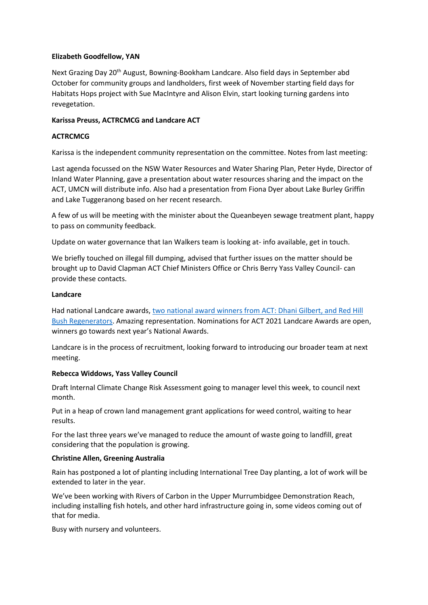# **Elizabeth Goodfellow, YAN**

Next Grazing Day 20<sup>th</sup> August, Bowning-Bookham Landcare. Also field days in September abd October for community groups and landholders, first week of November starting field days for Habitats Hops project with Sue MacIntyre and Alison Elvin, start looking turning gardens into revegetation.

# **Karissa Preuss, ACTRCMCG and Landcare ACT**

# **ACTRCMCG**

Karissa is the independent community representation on the committee. Notes from last meeting:

Last agenda focussed on the NSW Water Resources and Water Sharing Plan, Peter Hyde, Director of Inland Water Planning, gave a presentation about water resources sharing and the impact on the ACT, UMCN will distribute info. Also had a presentation from Fiona Dyer about Lake Burley Griffin and Lake Tuggeranong based on her recent research.

A few of us will be meeting with the minister about the Queanbeyen sewage treatment plant, happy to pass on community feedback.

Update on water governance that Ian Walkers team is looking at- info available, get in touch.

We briefly touched on illegal fill dumping, advised that further issues on the matter should be brought up to David Clapman ACT Chief Ministers Office or Chris Berry Yass Valley Council- can provide these contacts.

## **Landcare**

Had national Landcare awards, [two national award winners from ACT: Dhani Gilbert, and Red](https://landcareaustralia.org.au/project/national-landcare-award-winners-announced-with-an-online-audience-of-over-2500-people/) Hill [Bush Regenerators.](https://landcareaustralia.org.au/project/national-landcare-award-winners-announced-with-an-online-audience-of-over-2500-people/) Amazing representation. Nominations for ACT 2021 Landcare Awards are open, winners go towards next year's National Awards.

Landcare is in the process of recruitment, looking forward to introducing our broader team at next meeting.

## **Rebecca Widdows, Yass Valley Council**

Draft Internal Climate Change Risk Assessment going to manager level this week, to council next month.

Put in a heap of crown land management grant applications for weed control, waiting to hear results.

For the last three years we've managed to reduce the amount of waste going to landfill, great considering that the population is growing.

## **Christine Allen, Greening Australia**

Rain has postponed a lot of planting including International Tree Day planting, a lot of work will be extended to later in the year.

We've been working with Rivers of Carbon in the Upper Murrumbidgee Demonstration Reach, including installing fish hotels, and other hard infrastructure going in, some videos coming out of that for media.

Busy with nursery and volunteers.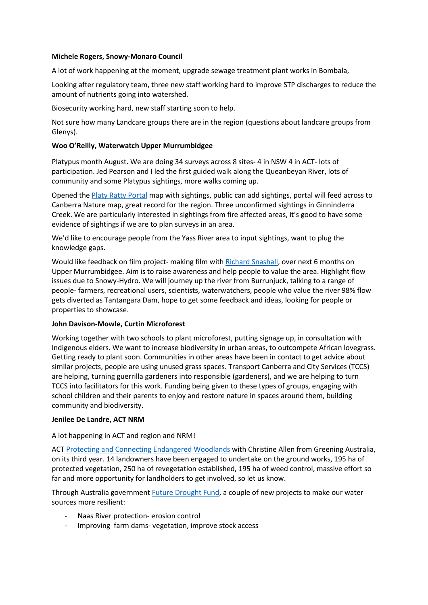## **Michele Rogers, Snowy-Monaro Council**

A lot of work happening at the moment, upgrade sewage treatment plant works in Bombala,

Looking after regulatory team, three new staff working hard to improve STP discharges to reduce the amount of nutrients going into watershed.

Biosecurity working hard, new staff starting soon to help.

Not sure how many Landcare groups there are in the region (questions about landcare groups from Glenys).

#### **Woo O'Reilly, Waterwatch Upper Murrumbidgee**

Platypus month August. We are doing 34 surveys across 8 sites- 4 in NSW 4 in ACT- lots of participation. Jed Pearson and I led the first guided walk along the Queanbeyan River, lots of community and some Platypus sightings, more walks coming up.

Opened th[e Platy Ratty Portal](https://experience.arcgis.com/experience/4f4c647eb48c412e95a572f0859c9d16/page/page_0/) map with sightings, public can add sightings, portal will feed across to Canberra Nature map, great record for the region. Three unconfirmed sightings in Ginninderra Creek. We are particularly interested in sightings from fire affected areas, it's good to have some evidence of sightings if we are to plan surveys in an area.

We'd like to encourage people from the Yass River area to input sightings, want to plug the knowledge gaps.

Would like feedback on film project- making film with [Richard Snashall,](https://www.richardsnashall.com/) over next 6 months on Upper Murrumbidgee. Aim is to raise awareness and help people to value the area. Highlight flow issues due to Snowy-Hydro. We will journey up the river from Burrunjuck, talking to a range of people- farmers, recreational users, scientists, waterwatchers, people who value the river 98% flow gets diverted as Tantangara Dam, hope to get some feedback and ideas, looking for people or properties to showcase.

## **John Davison-Mowle, Curtin Microforest**

Working together with two schools to plant microforest, putting signage up, in consultation with Indigenous elders. We want to increase biodiversity in urban areas, to outcompete African lovegrass. Getting ready to plant soon. Communities in other areas have been in contact to get advice about similar projects, people are using unused grass spaces. Transport Canberra and City Services (TCCS) are helping, turning guerrilla gardeners into responsible (gardeners), and we are helping to turn TCCS into facilitators for this work. Funding being given to these types of groups, engaging with school children and their parents to enjoy and restore nature in spaces around them, building community and biodiversity.

#### **Jenilee De Landre, ACT NRM**

A lot happening in ACT and region and NRM!

ACT [Protecting and Connecting Endangered Woodlands](https://www.environment.act.gov.au/act-nrm/biodiversity/woodlands/current-projects) with Christine Allen from Greening Australia, on its third year. 14 landowners have been engaged to undertake on the ground works, 195 ha of protected vegetation, 250 ha of revegetation established, 195 ha of weed control, massive effort so far and more opportunity for landholders to get involved, so let us know.

Through Australia government [Future Drought Fund,](https://www.agriculture.gov.au/ag-farm-food/drought/future-drought-fund) a couple of new projects to make our water sources more resilient:

- Naas River protection- erosion control
- Improving farm dams- vegetation, improve stock access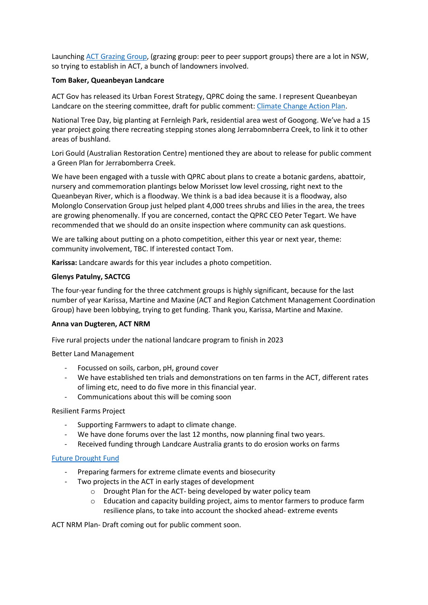Launching ACT [Grazing Group,](https://actlandcare.org.au/2019/08/21/farmers-helping-each-other-to-graze-better-through-grazing-groups/) (grazing group: peer to peer support groups) there are a lot in NSW, so trying to establish in ACT, a bunch of landowners involved.

## **Tom Baker, Queanbeyan Landcare**

ACT Gov has released its Urban Forest Strategy, QPRC doing the same. I represent Queanbeyan Landcare on the steering committee, draft for public comment[: Climate Change Action Plan.](https://yourvoice.qprc.nsw.gov.au/draft-climate-change-action-plan)

National Tree Day, big planting at Fernleigh Park, residential area west of Googong. We've had a 15 year project going there recreating stepping stones along Jerrabomnberra Creek, to link it to other areas of bushland.

Lori Gould (Australian Restoration Centre) mentioned they are about to release for public comment a Green Plan for Jerrabomberra Creek.

We have been engaged with a tussle with QPRC about plans to create a botanic gardens, abattoir, nursery and commemoration plantings below Morisset low level crossing, right next to the Queanbeyan River, which is a floodway. We think is a bad idea because it is a floodway, also Molonglo Conservation Group just helped plant 4,000 trees shrubs and lilies in the area, the trees are growing phenomenally. If you are concerned, contact the QPRC CEO Peter Tegart. We have recommended that we should do an onsite inspection where community can ask questions.

We are talking about putting on a photo competition, either this year or next year, theme: community involvement, TBC. If interested contact Tom.

**Karissa:** Landcare awards for this year includes a photo competition.

## **Glenys Patulny, SACTCG**

The four-year funding for the three catchment groups is highly significant, because for the last number of year Karissa, Martine and Maxine (ACT and Region Catchment Management Coordination Group) have been lobbying, trying to get funding. Thank you, Karissa, Martine and Maxine.

## **Anna van Dugteren, ACT NRM**

Five rural projects under the national landcare program to finish in 2023

Better Land Management

- Focussed on soils, carbon, pH, ground cover
- We have established ten trials and demonstrations on ten farms in the ACT, different rates of liming etc, need to do five more in this financial year.
- Communications about this will be coming soon

## Resilient Farms Project

- Supporting Farmwers to adapt to climate change.
- We have done forums over the last 12 months, now planning final two years.
- Received funding through Landcare Australia grants to do erosion works on farms

# [Future Drought Fund](https://www.agriculture.gov.au/ag-farm-food/drought/future-drought-fund)

- Preparing farmers for extreme climate events and biosecurity
- Two projects in the ACT in early stages of development
	- o Drought Plan for the ACT- being developed by water policy team
	- o Education and capacity building project, aims to mentor farmers to produce farm resilience plans, to take into account the shocked ahead- extreme events

ACT NRM Plan- Draft coming out for public comment soon.